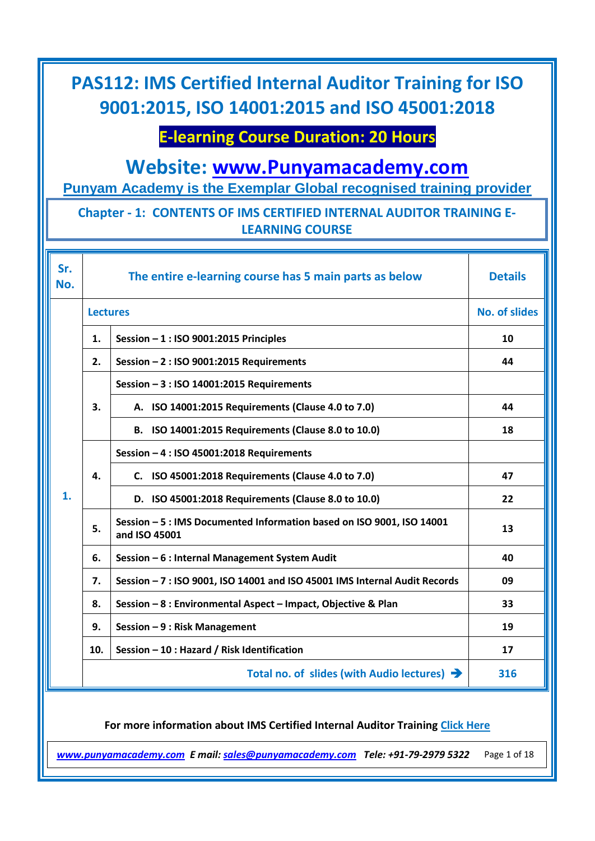## **E-learning Course Duration: 20 Hours**

**Website: [www.Punyamacademy.com](https://www.punyamacademy.com/)**

**Punyam Academy is the Exemplar Global recognised training provider**

### **Chapter - 1: CONTENTS OF IMS CERTIFIED INTERNAL AUDITOR TRAINING E-LEARNING COURSE**

| Sr.<br>No. |                 | The entire e-learning course has 5 main parts as below                                 | <b>Details</b>       |
|------------|-----------------|----------------------------------------------------------------------------------------|----------------------|
|            | <b>Lectures</b> |                                                                                        | <b>No. of slides</b> |
|            | 1.              | Session $-1$ : ISO 9001:2015 Principles                                                | 10                   |
|            | 2.              | Session - 2 : ISO 9001:2015 Requirements                                               | 44                   |
|            |                 | Session - 3 : ISO 14001:2015 Requirements                                              |                      |
|            | 3.              | A. ISO 14001:2015 Requirements (Clause 4.0 to 7.0)                                     | 44                   |
|            |                 | B. ISO 14001:2015 Requirements (Clause 8.0 to 10.0)                                    | 18                   |
|            |                 | Session - 4 : ISO 45001:2018 Requirements                                              |                      |
|            | 4.              | C. ISO 45001:2018 Requirements (Clause 4.0 to 7.0)                                     | 47                   |
| 1.         |                 | D. ISO 45001:2018 Requirements (Clause 8.0 to 10.0)                                    | 22                   |
|            | 5.              | Session - 5 : IMS Documented Information based on ISO 9001, ISO 14001<br>and ISO 45001 | 13                   |
|            | 6.              | Session - 6 : Internal Management System Audit                                         | 40                   |
|            | 7.              | Session - 7 : ISO 9001, ISO 14001 and ISO 45001 IMS Internal Audit Records             | 09                   |
|            | 8.              | Session - 8 : Environmental Aspect - Impact, Objective & Plan                          | 33                   |
|            | 9.              | Session - 9 : Risk Management                                                          | 19                   |
|            | 10.             | Session - 10 : Hazard / Risk Identification                                            | 17                   |
|            |                 | Total no. of slides (with Audio lectures) $\rightarrow$                                | 316                  |

#### **For more information about IMS Certified Internal Auditor Training [Click Here](https://www.punyamacademy.com/course/hse/ims-certified-internal-auditor-training)**

*[www.punyamacademy.com](https://www.punyamacademy.com/) E mail[: sales@punyamacademy.com](mailto:sales@punyamacademy.com) Tele: +91-79-2979 5322* Page 1 of 18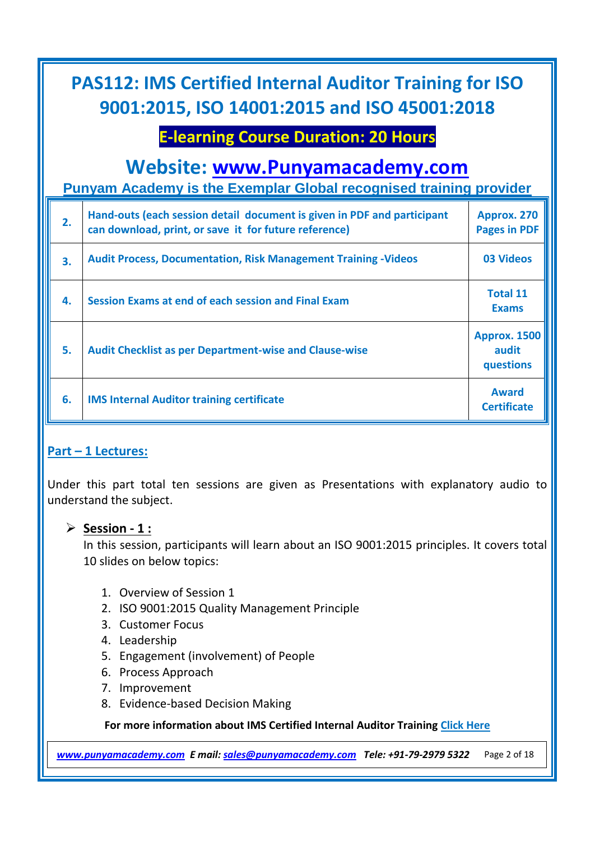## **E-learning Course Duration: 20 Hours**

## **Website: [www.Punyamacademy.com](https://www.punyamacademy.com/)**

**Punyam Academy is the Exemplar Global recognised training provider**

| 2. | Hand-outs (each session detail document is given in PDF and participant<br>can download, print, or save it for future reference) | Approx. 270<br><b>Pages in PDF</b>        |
|----|----------------------------------------------------------------------------------------------------------------------------------|-------------------------------------------|
| 3. | <b>Audit Process, Documentation, Risk Management Training -Videos</b>                                                            | 03 Videos                                 |
| 4. | Session Exams at end of each session and Final Exam                                                                              | <b>Total 11</b><br><b>Exams</b>           |
| 5. | <b>Audit Checklist as per Department-wise and Clause-wise</b>                                                                    | <b>Approx. 1500</b><br>audit<br>questions |
| 6. | <b>IMS Internal Auditor training certificate</b>                                                                                 | <b>Award</b><br><b>Certificate</b>        |

#### **Part – 1 Lectures:**

Under this part total ten sessions are given as Presentations with explanatory audio to understand the subject.

#### **Session - 1 :**

In this session, participants will learn about an ISO 9001:2015 principles. It covers total 10 slides on below topics:

- 1. Overview of Session 1
- 2. ISO 9001:2015 Quality Management Principle
- 3. Customer Focus
- 4. Leadership
- 5. Engagement (involvement) of People
- 6. Process Approach
- 7. Improvement
- 8. Evidence-based Decision Making

**For more information about IMS Certified Internal Auditor Training [Click Here](https://www.punyamacademy.com/course/hse/ims-certified-internal-auditor-training)**

*[www.punyamacademy.com](https://www.punyamacademy.com/) E mail[: sales@punyamacademy.com](mailto:sales@punyamacademy.com) Tele: +91-79-2979 5322* Page 2 of 18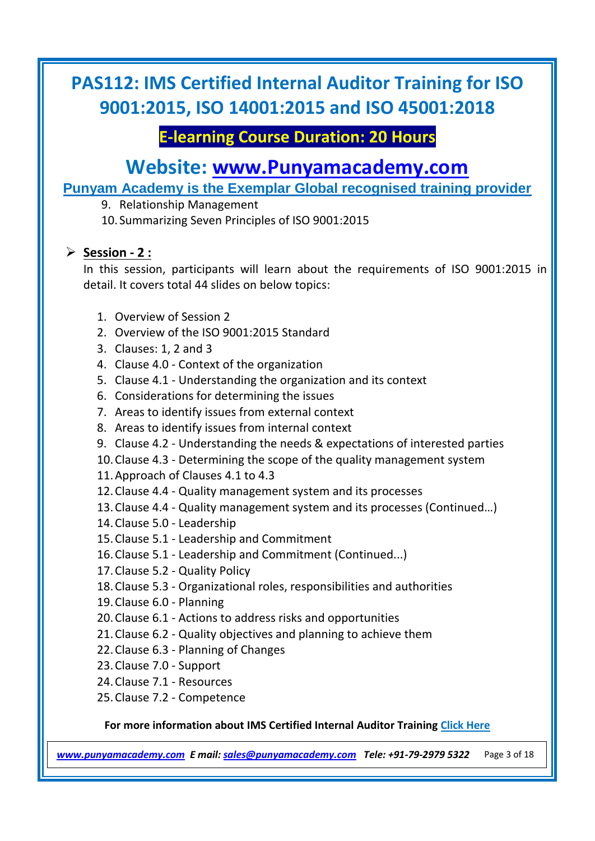## **E-learning Course Duration: 20 Hours**

## **Website: [www.Punyamacademy.com](https://www.punyamacademy.com/)**

**Punyam Academy is the Exemplar Global recognised training provider**

9. Relationship Management

10. Summarizing Seven Principles of ISO 9001:2015

### **Session - 2 :**

In this session, participants will learn about the requirements of ISO 9001:2015 in detail. It covers total 44 slides on below topics:

- 1. Overview of Session 2
- 2. Overview of the ISO 9001:2015 Standard
- 3. Clauses: 1, 2 and 3
- 4. Clause 4.0 Context of the organization
- 5. Clause 4.1 Understanding the organization and its context
- 6. Considerations for determining the issues
- 7. Areas to identify issues from external context
- 8. Areas to identify issues from internal context
- 9. Clause 4.2 Understanding the needs & expectations of interested parties
- 10.Clause 4.3 Determining the scope of the quality management system
- 11.Approach of Clauses 4.1 to 4.3
- 12.Clause 4.4 Quality management system and its processes
- 13.Clause 4.4 Quality management system and its processes (Continued…)
- 14.Clause 5.0 Leadership
- 15.Clause 5.1 Leadership and Commitment
- 16.Clause 5.1 Leadership and Commitment (Continued...)
- 17.Clause 5.2 Quality Policy
- 18.Clause 5.3 Organizational roles, responsibilities and authorities
- 19.Clause 6.0 Planning
- 20.Clause 6.1 Actions to address risks and opportunities
- 21.Clause 6.2 Quality objectives and planning to achieve them
- 22.Clause 6.3 Planning of Changes
- 23.Clause 7.0 Support
- 24.Clause 7.1 Resources
- 25.Clause 7.2 Competence

#### **For more information about IMS Certified Internal Auditor Training [Click Here](https://www.punyamacademy.com/course/hse/ims-certified-internal-auditor-training)**

*[www.punyamacademy.com](https://www.punyamacademy.com/) E mail[: sales@punyamacademy.com](mailto:sales@punyamacademy.com) Tele: +91-79-2979 5322* Page 3 of 18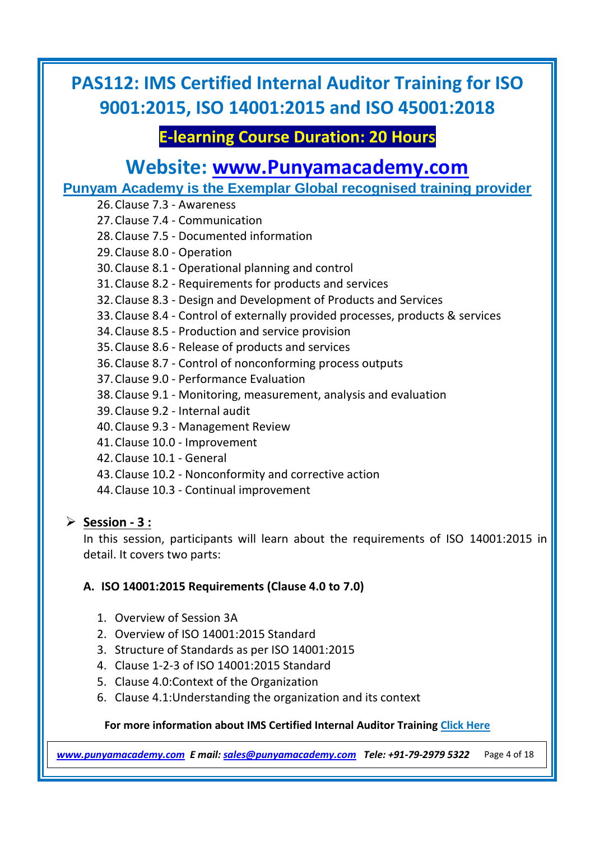## **E-learning Course Duration: 20 Hours**

## **Website: [www.Punyamacademy.com](https://www.punyamacademy.com/)**

**Punyam Academy is the Exemplar Global recognised training provider**

| 26. Clause 7.3 - Awareness                                                     |
|--------------------------------------------------------------------------------|
| 27. Clause 7.4 - Communication                                                 |
| 28. Clause 7.5 - Documented information                                        |
| 29. Clause 8.0 - Operation                                                     |
| 30. Clause 8.1 - Operational planning and control                              |
| 31. Clause 8.2 - Requirements for products and services                        |
| 32. Clause 8.3 - Design and Development of Products and Services               |
| 33. Clause 8.4 - Control of externally provided processes, products & services |
| 34. Clause 8.5 - Production and service provision                              |
| 35. Clause 8.6 - Release of products and services                              |
| 36. Clause 8.7 - Control of nonconforming process outputs                      |
| 37. Clause 9.0 - Performance Evaluation                                        |
| 38. Clause 9.1 - Monitoring, measurement, analysis and evaluation              |
| 39. Clause 9.2 - Internal audit                                                |
| 40. Clause 9.3 - Management Review                                             |
| 41. Clause 10.0 - Improvement                                                  |
| 42. Clause 10.1 - General                                                      |
| 43. Clause 10.2 - Nonconformity and corrective action                          |
| 44. Clause 10.3 - Continual improvement                                        |
|                                                                                |

#### **Session - 3 :**

In this session, participants will learn about the requirements of ISO 14001:2015 in detail. It covers two parts:

#### **A. ISO 14001:2015 Requirements (Clause 4.0 to 7.0)**

- 1. Overview of Session 3A
- 2. Overview of ISO 14001:2015 Standard
- 3. Structure of Standards as per ISO 14001:2015
- 4. Clause 1-2-3 of ISO 14001:2015 Standard
- 5. Clause 4.0:Context of the Organization
- 6. Clause 4.1:Understanding the organization and its context

#### **For more information about IMS Certified Internal Auditor Training [Click Here](https://www.punyamacademy.com/course/hse/ims-certified-internal-auditor-training)**

*[www.punyamacademy.com](https://www.punyamacademy.com/) E mail[: sales@punyamacademy.com](mailto:sales@punyamacademy.com) Tele: +91-79-2979 5322* Page 4 of 18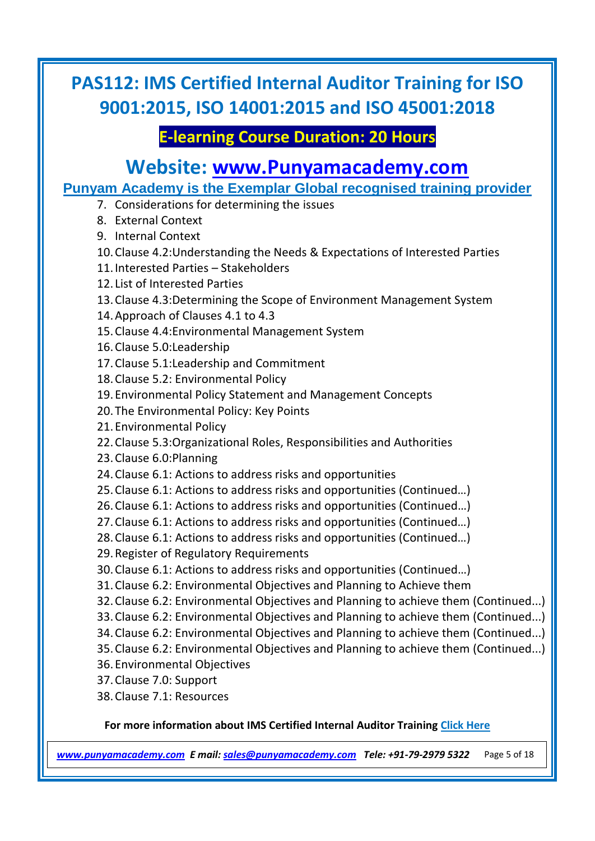## **E-learning Course Duration: 20 Hours**

## **Website: [www.Punyamacademy.com](https://www.punyamacademy.com/)**

**Punyam Academy is the Exemplar Global recognised training provider**

- 7. Considerations for determining the issues
- 8. External Context
- 9. Internal Context
- 10.Clause 4.2:Understanding the Needs & Expectations of Interested Parties
- 11.Interested Parties Stakeholders
- 12. List of Interested Parties
- 13.Clause 4.3:Determining the Scope of Environment Management System
- 14.Approach of Clauses 4.1 to 4.3
- 15.Clause 4.4:Environmental Management System
- 16.Clause 5.0:Leadership
- 17.Clause 5.1:Leadership and Commitment
- 18.Clause 5.2: Environmental Policy
- 19.Environmental Policy Statement and Management Concepts
- 20.The Environmental Policy: Key Points
- 21.Environmental Policy
- 22.Clause 5.3:Organizational Roles, Responsibilities and Authorities
- 23.Clause 6.0:Planning
- 24.Clause 6.1: Actions to address risks and opportunities
- 25.Clause 6.1: Actions to address risks and opportunities (Continued…)
- 26.Clause 6.1: Actions to address risks and opportunities (Continued…)
- 27.Clause 6.1: Actions to address risks and opportunities (Continued…)
- 28.Clause 6.1: Actions to address risks and opportunities (Continued…)
- 29.Register of Regulatory Requirements
- 30.Clause 6.1: Actions to address risks and opportunities (Continued…)
- 31.Clause 6.2: Environmental Objectives and Planning to Achieve them
- 32.Clause 6.2: Environmental Objectives and Planning to achieve them (Continued...)
- 33.Clause 6.2: Environmental Objectives and Planning to achieve them (Continued...)
- 34.Clause 6.2: Environmental Objectives and Planning to achieve them (Continued...)
- 35.Clause 6.2: Environmental Objectives and Planning to achieve them (Continued...)
- 36.Environmental Objectives
- 37.Clause 7.0: Support
- 38.Clause 7.1: Resources

#### **For more information about IMS Certified Internal Auditor Training [Click Here](https://www.punyamacademy.com/course/hse/ims-certified-internal-auditor-training)**

*[www.punyamacademy.com](https://www.punyamacademy.com/) E mail[: sales@punyamacademy.com](mailto:sales@punyamacademy.com) Tele: +91-79-2979 5322* Page 5 of 18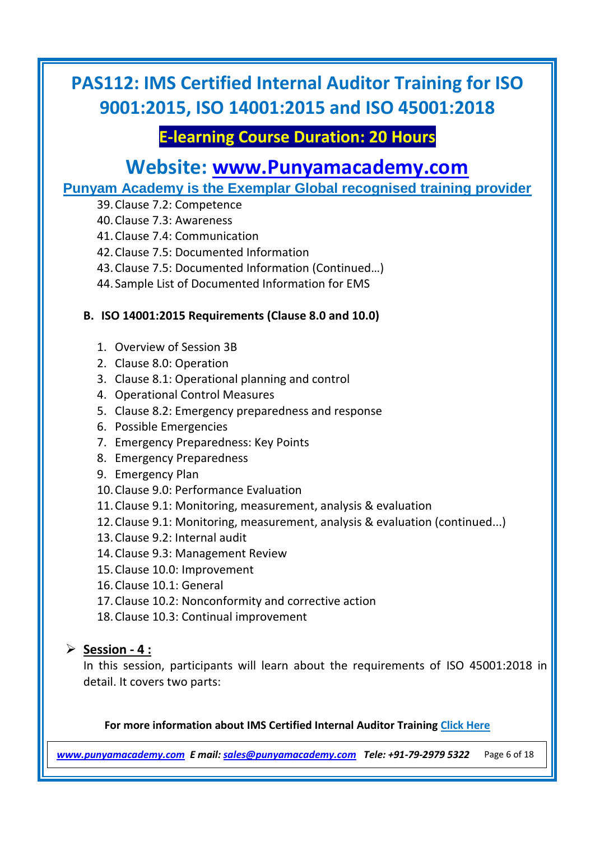## **E-learning Course Duration: 20 Hours**

## **Website: [www.Punyamacademy.com](https://www.punyamacademy.com/)**

**Punyam Academy is the Exemplar Global recognised training provider**

- 39.Clause 7.2: Competence
- 40.Clause 7.3: Awareness
- 41.Clause 7.4: Communication
- 42.Clause 7.5: Documented Information
- 43.Clause 7.5: Documented Information (Continued…)
- 44. Sample List of Documented Information for EMS

#### **B. ISO 14001:2015 Requirements (Clause 8.0 and 10.0)**

- 1. Overview of Session 3B
- 2. Clause 8.0: Operation
- 3. Clause 8.1: Operational planning and control
- 4. Operational Control Measures
- 5. Clause 8.2: Emergency preparedness and response
- 6. Possible Emergencies
- 7. Emergency Preparedness: Key Points
- 8. Emergency Preparedness
- 9. Emergency Plan
- 10.Clause 9.0: Performance Evaluation
- 11.Clause 9.1: Monitoring, measurement, analysis & evaluation
- 12.Clause 9.1: Monitoring, measurement, analysis & evaluation (continued...)
- 13.Clause 9.2: Internal audit
- 14.Clause 9.3: Management Review
- 15.Clause 10.0: Improvement
- 16.Clause 10.1: General
- 17.Clause 10.2: Nonconformity and corrective action
- 18.Clause 10.3: Continual improvement

#### **Session - 4 :**

In this session, participants will learn about the requirements of ISO 45001:2018 in detail. It covers two parts:

#### **For more information about IMS Certified Internal Auditor Training [Click Here](https://www.punyamacademy.com/course/hse/ims-certified-internal-auditor-training)**

*[www.punyamacademy.com](https://www.punyamacademy.com/) E mail[: sales@punyamacademy.com](mailto:sales@punyamacademy.com) Tele: +91-79-2979 5322* Page 6 of 18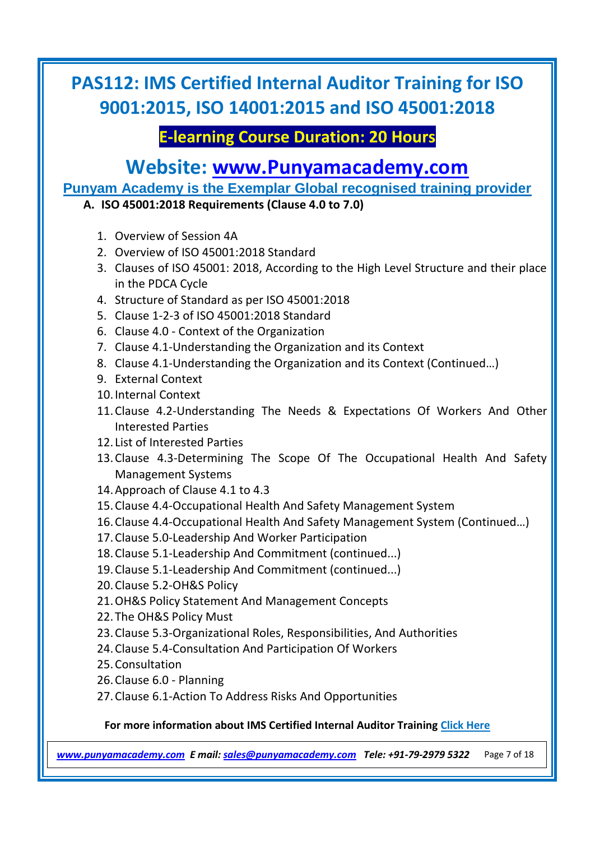## **E-learning Course Duration: 20 Hours**

## **Website: [www.Punyamacademy.com](https://www.punyamacademy.com/)**

**Punyam Academy is the Exemplar Global recognised training provider**

**A. ISO 45001:2018 Requirements (Clause 4.0 to 7.0)**

- 1. Overview of Session 4A
- 2. Overview of ISO 45001:2018 Standard
- 3. Clauses of ISO 45001: 2018, According to the High Level Structure and their place in the PDCA Cycle
- 4. Structure of Standard as per ISO 45001:2018
- 5. Clause 1-2-3 of ISO 45001:2018 Standard
- 6. Clause 4.0 Context of the Organization
- 7. Clause 4.1-Understanding the Organization and its Context
- 8. Clause 4.1-Understanding the Organization and its Context (Continued…)
- 9. External Context
- 10.Internal Context
- 11.Clause 4.2-Understanding The Needs & Expectations Of Workers And Other Interested Parties
- 12. List of Interested Parties
- 13.Clause 4.3-Determining The Scope Of The Occupational Health And Safety Management Systems
- 14.Approach of Clause 4.1 to 4.3
- 15.Clause 4.4-Occupational Health And Safety Management System
- 16.Clause 4.4-Occupational Health And Safety Management System (Continued…)
- 17.Clause 5.0-Leadership And Worker Participation
- 18.Clause 5.1-Leadership And Commitment (continued...)
- 19.Clause 5.1-Leadership And Commitment (continued...)
- 20.Clause 5.2-OH&S Policy
- 21.OH&S Policy Statement And Management Concepts
- 22.The OH&S Policy Must
- 23.Clause 5.3-Organizational Roles, Responsibilities, And Authorities
- 24.Clause 5.4-Consultation And Participation Of Workers
- 25.Consultation
- 26.Clause 6.0 Planning
- 27.Clause 6.1-Action To Address Risks And Opportunities

#### **For more information about IMS Certified Internal Auditor Training [Click Here](https://www.punyamacademy.com/course/hse/ims-certified-internal-auditor-training)**

*[www.punyamacademy.com](https://www.punyamacademy.com/) E mail[: sales@punyamacademy.com](mailto:sales@punyamacademy.com) Tele: +91-79-2979 5322* Page 7 of 18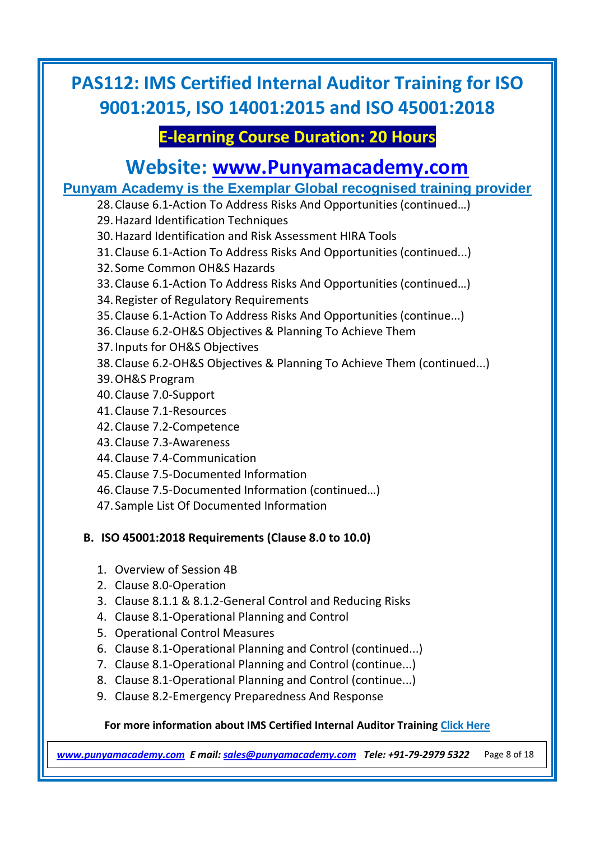## **E-learning Course Duration: 20 Hours**

## **Website: [www.Punyamacademy.com](https://www.punyamacademy.com/)**

### **Punyam Academy is the Exemplar Global recognised training provider**

- 28.Clause 6.1-Action To Address Risks And Opportunities (continued…)
	- 29.Hazard Identification Techniques
	- 30.Hazard Identification and Risk Assessment HIRA Tools
	- 31.Clause 6.1-Action To Address Risks And Opportunities (continued...)
	- 32. Some Common OH&S Hazards
	- 33.Clause 6.1-Action To Address Risks And Opportunities (continued…)
	- 34.Register of Regulatory Requirements
	- 35.Clause 6.1-Action To Address Risks And Opportunities (continue...)
	- 36.Clause 6.2-OH&S Objectives & Planning To Achieve Them
	- 37.Inputs for OH&S Objectives
	- 38.Clause 6.2-OH&S Objectives & Planning To Achieve Them (continued...)
	- 39.OH&S Program
	- 40.Clause 7.0-Support
	- 41.Clause 7.1-Resources
	- 42.Clause 7.2-Competence
	- 43.Clause 7.3-Awareness
	- 44.Clause 7.4-Communication
	- 45.Clause 7.5-Documented Information
	- 46.Clause 7.5-Documented Information (continued…)
	- 47. Sample List Of Documented Information

#### **B. ISO 45001:2018 Requirements (Clause 8.0 to 10.0)**

- 1. Overview of Session 4B
- 2. Clause 8.0-Operation
- 3. Clause 8.1.1 & 8.1.2-General Control and Reducing Risks
- 4. Clause 8.1-Operational Planning and Control
- 5. Operational Control Measures
- 6. Clause 8.1-Operational Planning and Control (continued...)
- 7. Clause 8.1-Operational Planning and Control (continue...)
- 8. Clause 8.1-Operational Planning and Control (continue...)
- 9. Clause 8.2-Emergency Preparedness And Response

#### **For more information about IMS Certified Internal Auditor Training [Click Here](https://www.punyamacademy.com/course/hse/ims-certified-internal-auditor-training)**

*[www.punyamacademy.com](https://www.punyamacademy.com/) E mail[: sales@punyamacademy.com](mailto:sales@punyamacademy.com) Tele: +91-79-2979 5322* Page 8 of 18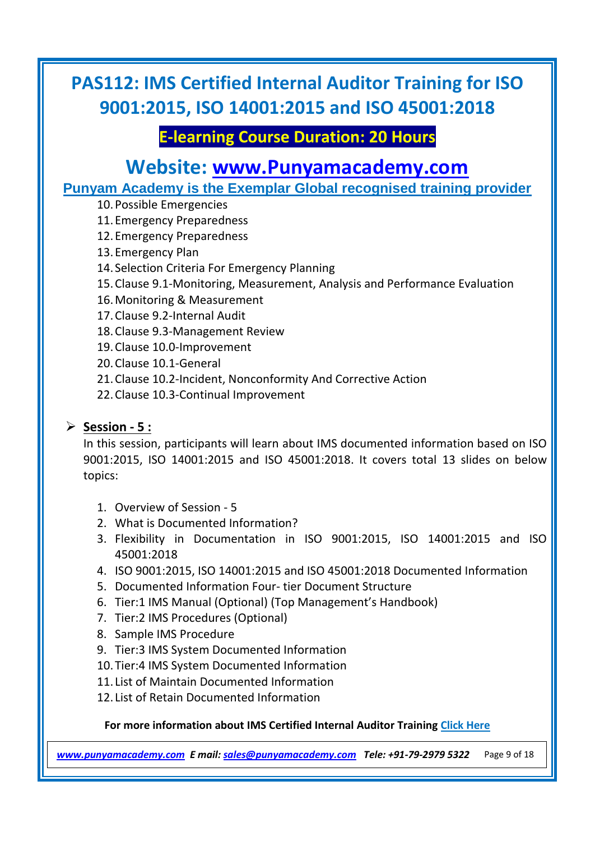## **E-learning Course Duration: 20 Hours**

## **Website: [www.Punyamacademy.com](https://www.punyamacademy.com/)**

**Punyam Academy is the Exemplar Global recognised training provider**

- 10.Possible Emergencies
- 11.Emergency Preparedness
- 12.Emergency Preparedness
- 13.Emergency Plan
- 14. Selection Criteria For Emergency Planning
- 15.Clause 9.1-Monitoring, Measurement, Analysis and Performance Evaluation
- 16.Monitoring & Measurement
- 17.Clause 9.2-Internal Audit
- 18.Clause 9.3-Management Review
- 19.Clause 10.0-Improvement
- 20.Clause 10.1-General
- 21.Clause 10.2-Incident, Nonconformity And Corrective Action
- 22.Clause 10.3-Continual Improvement

### **Session - 5 :**

In this session, participants will learn about IMS documented information based on ISO 9001:2015, ISO 14001:2015 and ISO 45001:2018. It covers total 13 slides on below topics:

- 1. Overview of Session 5
- 2. What is Documented Information?
- 3. Flexibility in Documentation in ISO 9001:2015, ISO 14001:2015 and ISO 45001:2018
- 4. ISO 9001:2015, ISO 14001:2015 and ISO 45001:2018 Documented Information
- 5. Documented Information Four- tier Document Structure
- 6. Tier:1 IMS Manual (Optional) (Top Management's Handbook)
- 7. Tier:2 IMS Procedures (Optional)
- 8. Sample IMS Procedure
- 9. Tier:3 IMS System Documented Information
- 10.Tier:4 IMS System Documented Information
- 11. List of Maintain Documented Information
- 12. List of Retain Documented Information

#### **For more information about IMS Certified Internal Auditor Training [Click Here](https://www.punyamacademy.com/course/hse/ims-certified-internal-auditor-training)**

*[www.punyamacademy.com](https://www.punyamacademy.com/) E mail[: sales@punyamacademy.com](mailto:sales@punyamacademy.com) Tele: +91-79-2979 5322* Page 9 of 18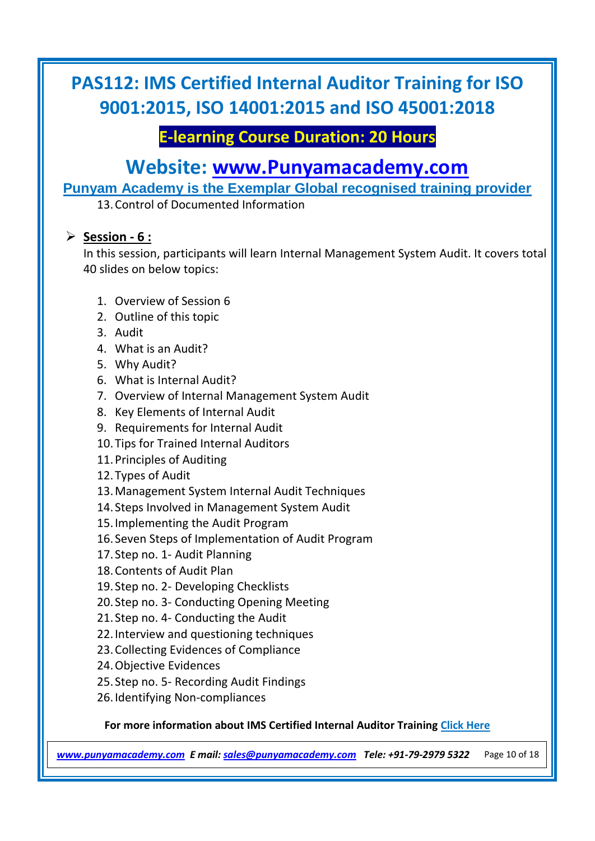## **E-learning Course Duration: 20 Hours**

# **Website: [www.Punyamacademy.com](https://www.punyamacademy.com/)**

**Punyam Academy is the Exemplar Global recognised training provider**

13.Control of Documented Information

#### **Session - 6 :**

In this session, participants will learn Internal Management System Audit. It covers total 40 slides on below topics:

- 1. Overview of Session 6
- 2. Outline of this topic
- 3. Audit
- 4. What is an Audit?
- 5. Why Audit?
- 6. What is Internal Audit?
- 7. Overview of Internal Management System Audit
- 8. Key Elements of Internal Audit
- 9. Requirements for Internal Audit
- 10.Tips for Trained Internal Auditors
- 11.Principles of Auditing
- 12.Types of Audit
- 13.Management System Internal Audit Techniques
- 14. Steps Involved in Management System Audit
- 15.Implementing the Audit Program
- 16. Seven Steps of Implementation of Audit Program
- 17. Step no. 1- Audit Planning
- 18.Contents of Audit Plan
- 19. Step no. 2- Developing Checklists
- 20. Step no. 3- Conducting Opening Meeting
- 21. Step no. 4- Conducting the Audit
- 22.Interview and questioning techniques
- 23.Collecting Evidences of Compliance
- 24.Objective Evidences
- 25. Step no. 5- Recording Audit Findings
- 26.Identifying Non-compliances

#### **For more information about IMS Certified Internal Auditor Training [Click Here](https://www.punyamacademy.com/course/hse/ims-certified-internal-auditor-training)**

*[www.punyamacademy.com](https://www.punyamacademy.com/) E mail[: sales@punyamacademy.com](mailto:sales@punyamacademy.com) Tele: +91-79-2979 5322* Page 10 of 18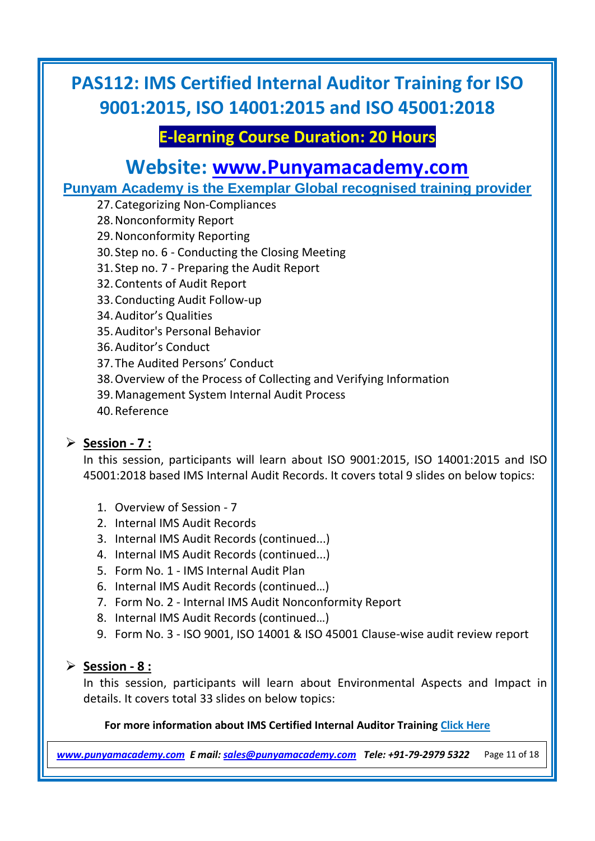## **E-learning Course Duration: 20 Hours**

## **Website: [www.Punyamacademy.com](https://www.punyamacademy.com/)**

**Punyam Academy is the Exemplar Global recognised training provider**

- 27.Categorizing Non-Compliances
- 28.Nonconformity Report
- 29.Nonconformity Reporting
- 30. Step no. 6 Conducting the Closing Meeting
- 31. Step no. 7 Preparing the Audit Report
- 32.Contents of Audit Report
- 33.Conducting Audit Follow-up
- 34.Auditor's Qualities
- 35.Auditor's Personal Behavior
- 36.Auditor's Conduct
- 37.The Audited Persons' Conduct
- 38.Overview of the Process of Collecting and Verifying Information
- 39.Management System Internal Audit Process
- 40.Reference

#### **Session - 7 :**

In this session, participants will learn about ISO 9001:2015, ISO 14001:2015 and ISO 45001:2018 based IMS Internal Audit Records. It covers total 9 slides on below topics:

- 1. Overview of Session 7
- 2. Internal IMS Audit Records
- 3. Internal IMS Audit Records (continued...)
- 4. Internal IMS Audit Records (continued...)
- 5. Form No. 1 IMS Internal Audit Plan
- 6. Internal IMS Audit Records (continued…)
- 7. Form No. 2 Internal IMS Audit Nonconformity Report
- 8. Internal IMS Audit Records (continued…)
- 9. Form No. 3 ISO 9001, ISO 14001 & ISO 45001 Clause-wise audit review report

### **Session - 8 :**

In this session, participants will learn about Environmental Aspects and Impact in details. It covers total 33 slides on below topics:

#### **For more information about IMS Certified Internal Auditor Training [Click Here](https://www.punyamacademy.com/course/hse/ims-certified-internal-auditor-training)**

*[www.punyamacademy.com](https://www.punyamacademy.com/) E mail[: sales@punyamacademy.com](mailto:sales@punyamacademy.com) Tele: +91-79-2979 5322* Page 11 of 18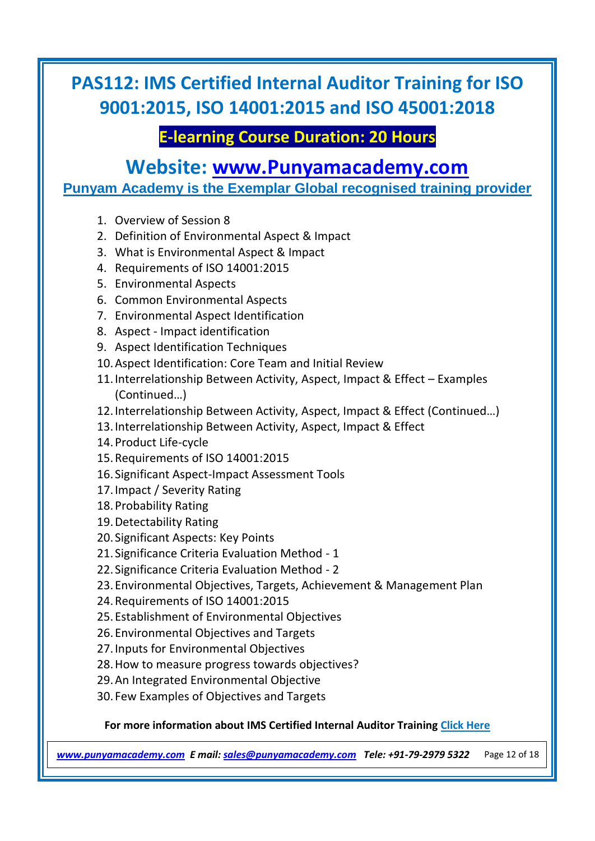## **E-learning Course Duration: 20 Hours**

### **Website: [www.Punyamacademy.com](https://www.punyamacademy.com/)**

**Punyam Academy is the Exemplar Global recognised training provider**

- 1. Overview of Session 8
- 2. Definition of Environmental Aspect & Impact
- 3. What is Environmental Aspect & Impact
- 4. Requirements of ISO 14001:2015
- 5. Environmental Aspects
- 6. Common Environmental Aspects
- 7. Environmental Aspect Identification
- 8. Aspect Impact identification
- 9. Aspect Identification Techniques
- 10.Aspect Identification: Core Team and Initial Review
- 11.Interrelationship Between Activity, Aspect, Impact & Effect Examples (Continued…)
- 12.Interrelationship Between Activity, Aspect, Impact & Effect (Continued…)
- 13.Interrelationship Between Activity, Aspect, Impact & Effect
- 14.Product Life-cycle
- 15.Requirements of ISO 14001:2015
- 16. Significant Aspect-Impact Assessment Tools
- 17.Impact / Severity Rating
- 18.Probability Rating
- 19.Detectability Rating
- 20. Significant Aspects: Key Points
- 21. Significance Criteria Evaluation Method 1
- 22. Significance Criteria Evaluation Method 2
- 23.Environmental Objectives, Targets, Achievement & Management Plan
- 24.Requirements of ISO 14001:2015
- 25.Establishment of Environmental Objectives
- 26.Environmental Objectives and Targets
- 27.Inputs for Environmental Objectives
- 28.How to measure progress towards objectives?
- 29.An Integrated Environmental Objective
- 30. Few Examples of Objectives and Targets

#### **For more information about IMS Certified Internal Auditor Training [Click Here](https://www.punyamacademy.com/course/hse/ims-certified-internal-auditor-training)**

*[www.punyamacademy.com](https://www.punyamacademy.com/) E mail[: sales@punyamacademy.com](mailto:sales@punyamacademy.com) Tele: +91-79-2979 5322* Page 12 of 18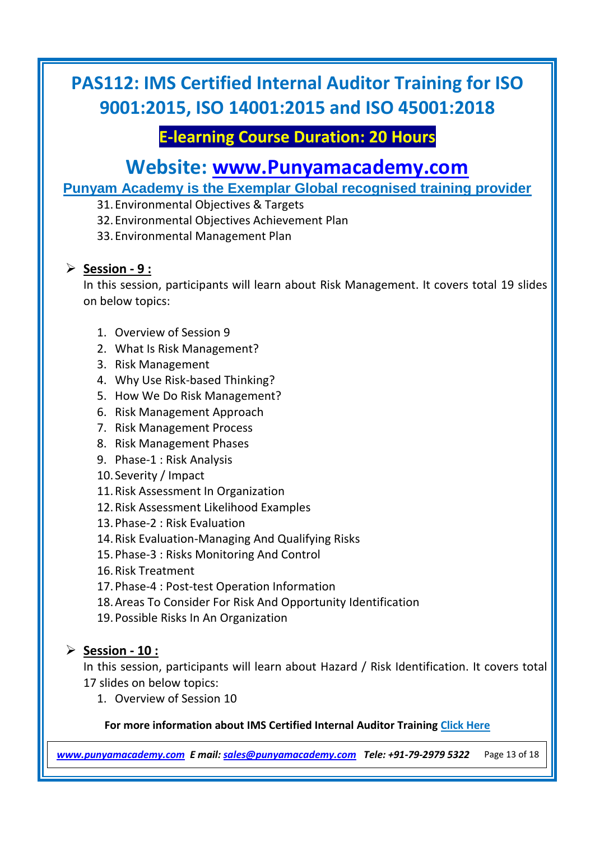## **E-learning Course Duration: 20 Hours**

## **Website: [www.Punyamacademy.com](https://www.punyamacademy.com/)**

### **Punyam Academy is the Exemplar Global recognised training provider**

- 31.Environmental Objectives & Targets
- 32.Environmental Objectives Achievement Plan
- 33.Environmental Management Plan

#### **Session - 9 :**

In this session, participants will learn about Risk Management. It covers total 19 slides on below topics:

- 1. Overview of Session 9
- 2. What Is Risk Management?
- 3. Risk Management
- 4. Why Use Risk-based Thinking?
- 5. How We Do Risk Management?
- 6. Risk Management Approach
- 7. Risk Management Process
- 8. Risk Management Phases
- 9. Phase-1 : Risk Analysis
- 10. Severity / Impact
- 11.Risk Assessment In Organization
- 12.Risk Assessment Likelihood Examples
- 13.Phase-2 : Risk Evaluation
- 14.Risk Evaluation-Managing And Qualifying Risks
- 15.Phase-3 : Risks Monitoring And Control
- 16.Risk Treatment
- 17.Phase-4 : Post-test Operation Information
- 18.Areas To Consider For Risk And Opportunity Identification
- 19.Possible Risks In An Organization

#### **Session - 10 :**

In this session, participants will learn about Hazard / Risk Identification. It covers total 17 slides on below topics:

1. Overview of Session 10

#### **For more information about IMS Certified Internal Auditor Training [Click Here](https://www.punyamacademy.com/course/hse/ims-certified-internal-auditor-training)**

*[www.punyamacademy.com](https://www.punyamacademy.com/) E mail[: sales@punyamacademy.com](mailto:sales@punyamacademy.com) Tele: +91-79-2979 5322* Page 13 of 18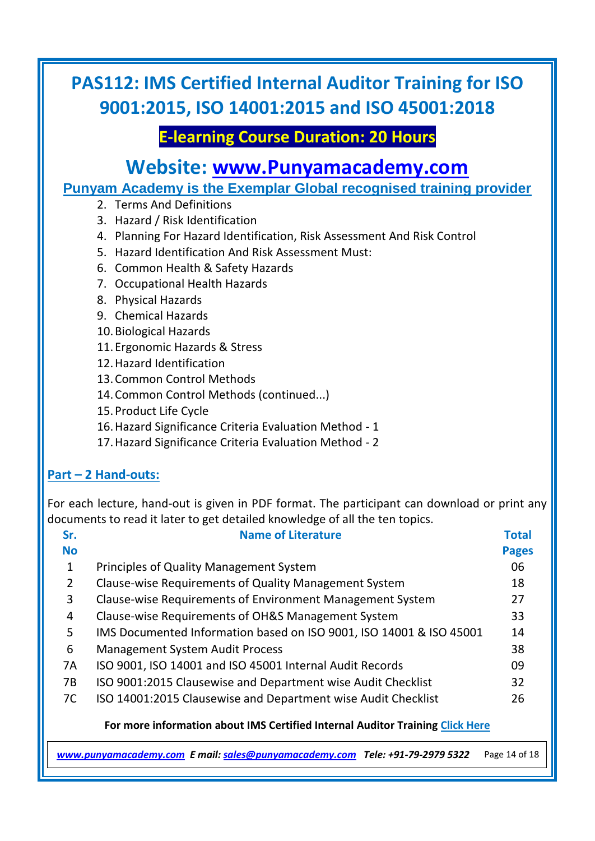## **E-learning Course Duration: 20 Hours**

## **Website: [www.Punyamacademy.com](https://www.punyamacademy.com/)**

**Punyam Academy is the Exemplar Global recognised training provider**

- 2. Terms And Definitions
- 3. Hazard / Risk Identification
- 4. Planning For Hazard Identification, Risk Assessment And Risk Control
- 5. Hazard Identification And Risk Assessment Must:
- 6. Common Health & Safety Hazards
- 7. Occupational Health Hazards
- 8. Physical Hazards
- 9. Chemical Hazards
- 10.Biological Hazards
- 11.Ergonomic Hazards & Stress
- 12.Hazard Identification
- 13.Common Control Methods
- 14.Common Control Methods (continued...)
- 15.Product Life Cycle
- 16.Hazard Significance Criteria Evaluation Method 1
- 17.Hazard Significance Criteria Evaluation Method 2

#### **Part – 2 Hand-outs:**

For each lecture, hand-out is given in PDF format. The participant can download or print any documents to read it later to get detailed knowledge of all the ten topics.

| Sr.       | <b>Name of Literature</b>                                           | <b>Total</b> |
|-----------|---------------------------------------------------------------------|--------------|
| <b>No</b> |                                                                     | <b>Pages</b> |
| 1         | <b>Principles of Quality Management System</b>                      | 06           |
| 2         | Clause-wise Requirements of Quality Management System               | 18           |
| 3         | Clause-wise Requirements of Environment Management System           | 27           |
| 4         | Clause-wise Requirements of OH&S Management System                  | 33           |
| 5.        | IMS Documented Information based on ISO 9001, ISO 14001 & ISO 45001 | 14           |
| 6         | <b>Management System Audit Process</b>                              | 38           |
| 7A        | ISO 9001, ISO 14001 and ISO 45001 Internal Audit Records            | 09           |
| <b>7B</b> | ISO 9001:2015 Clausewise and Department wise Audit Checklist        | 32           |
| 7C        | ISO 14001:2015 Clausewise and Department wise Audit Checklist       | 26           |

#### **For more information about IMS Certified Internal Auditor Training [Click Here](https://www.punyamacademy.com/course/hse/ims-certified-internal-auditor-training)**

*[www.punyamacademy.com](https://www.punyamacademy.com/) E mail[: sales@punyamacademy.com](mailto:sales@punyamacademy.com) Tele: +91-79-2979 5322* Page 14 of 18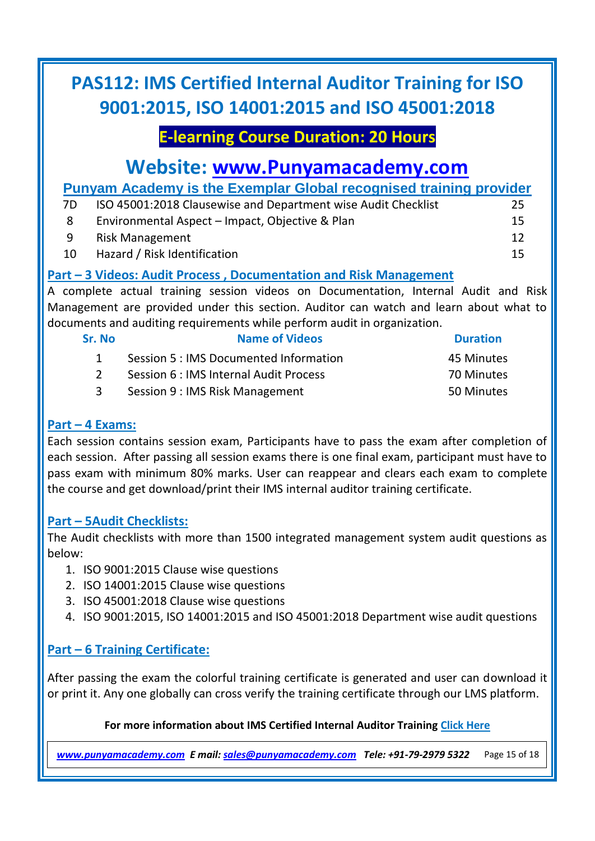## **E-learning Course Duration: 20 Hours**

# **Website: [www.Punyamacademy.com](https://www.punyamacademy.com/)**

**Punyam Academy is the Exemplar Global recognised training provider**

| 7D | ISO 45001:2018 Clausewise and Department wise Audit Checklist | 25 |
|----|---------------------------------------------------------------|----|
| -8 | Environmental Aspect – Impact, Objective & Plan               | 15 |
| -9 | <b>Risk Management</b>                                        | 12 |
| 10 | Hazard / Risk Identification                                  | 15 |

### **Part – 3 Videos: Audit Process , Documentation and Risk Management**

A complete actual training session videos on Documentation, Internal Audit and Risk Management are provided under this section. Auditor can watch and learn about what to documents and auditing requirements while perform audit in organization.

| Sr. No | <b>Name of Videos</b>                  | <b>Duration</b> |
|--------|----------------------------------------|-----------------|
|        | Session 5 : IMS Documented Information | 45 Minutes      |
|        | Session 6 : IMS Internal Audit Process | 70 Minutes      |
|        | Session 9 : IMS Risk Management        | 50 Minutes      |

#### **Part – 4 Exams:**

Each session contains session exam, Participants have to pass the exam after completion of each session. After passing all session exams there is one final exam, participant must have to pass exam with minimum 80% marks. User can reappear and clears each exam to complete the course and get download/print their IMS internal auditor training certificate.

#### **Part – 5Audit Checklists:**

The Audit checklists with more than 1500 integrated management system audit questions as below:

- 1. ISO 9001:2015 Clause wise questions
- 2. ISO 14001:2015 Clause wise questions
- 3. ISO 45001:2018 Clause wise questions
- 4. ISO 9001:2015, ISO 14001:2015 and ISO 45001:2018 Department wise audit questions

### **Part – 6 Training Certificate:**

After passing the exam the colorful training certificate is generated and user can download it or print it. Any one globally can cross verify the training certificate through our LMS platform.

#### **For more information about IMS Certified Internal Auditor Training [Click Here](https://www.punyamacademy.com/course/hse/ims-certified-internal-auditor-training)**

*[www.punyamacademy.com](https://www.punyamacademy.com/) E mail[: sales@punyamacademy.com](mailto:sales@punyamacademy.com) Tele: +91-79-2979 5322* Page 15 of 18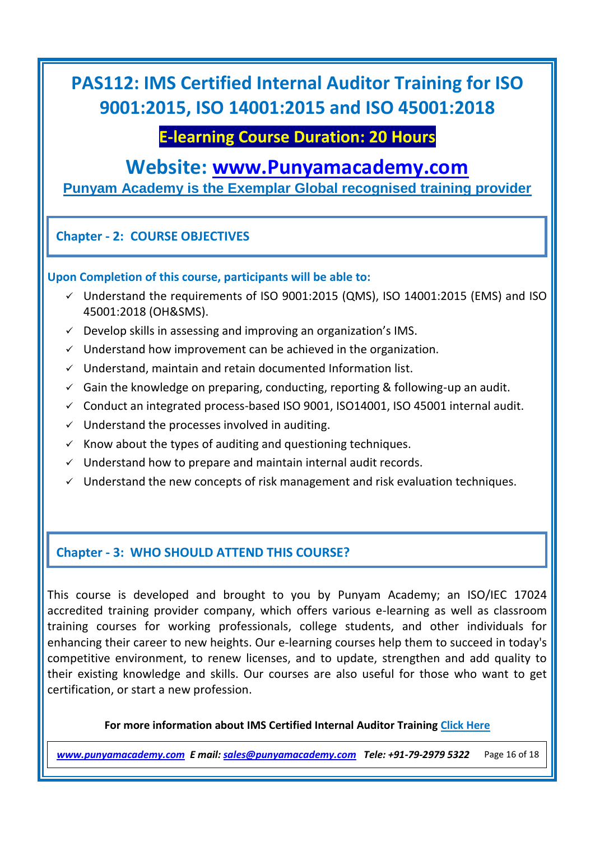### **E-learning Course Duration: 20 Hours**

### **Website: [www.Punyamacademy.com](https://www.punyamacademy.com/)**

**Punyam Academy is the Exemplar Global recognised training provider**

#### **Chapter - 2: COURSE OBJECTIVES**

#### **Upon Completion of this course, participants will be able to:**

- $\checkmark$  Understand the requirements of ISO 9001:2015 (QMS), ISO 14001:2015 (EMS) and ISO 45001:2018 (OH&SMS).
- $\checkmark$  Develop skills in assessing and improving an organization's IMS.
- $\checkmark$  Understand how improvement can be achieved in the organization.
- $\checkmark$  Understand, maintain and retain documented Information list.
- $\checkmark$  Gain the knowledge on preparing, conducting, reporting & following-up an audit.
- $\checkmark$  Conduct an integrated process-based ISO 9001, ISO14001, ISO 45001 internal audit.
- $\checkmark$  Understand the processes involved in auditing.
- $\checkmark$  Know about the types of auditing and questioning techniques.
- $\checkmark$  Understand how to prepare and maintain internal audit records.
- $\checkmark$  Understand the new concepts of risk management and risk evaluation techniques.

#### **Chapter - 3: WHO SHOULD ATTEND THIS COURSE?**

This course is developed and brought to you by Punyam Academy; an ISO/IEC 17024 accredited training provider company, which offers various e-learning as well as classroom training courses for working professionals, college students, and other individuals for enhancing their career to new heights. Our e-learning courses help them to succeed in today's competitive environment, to renew licenses, and to update, strengthen and add quality to their existing knowledge and skills. Our courses are also useful for those who want to get certification, or start a new profession.

#### **For more information about IMS Certified Internal Auditor Training [Click Here](https://www.punyamacademy.com/course/hse/ims-certified-internal-auditor-training)**

*[www.punyamacademy.com](https://www.punyamacademy.com/) E mail[: sales@punyamacademy.com](mailto:sales@punyamacademy.com) Tele: +91-79-2979 5322* Page 16 of 18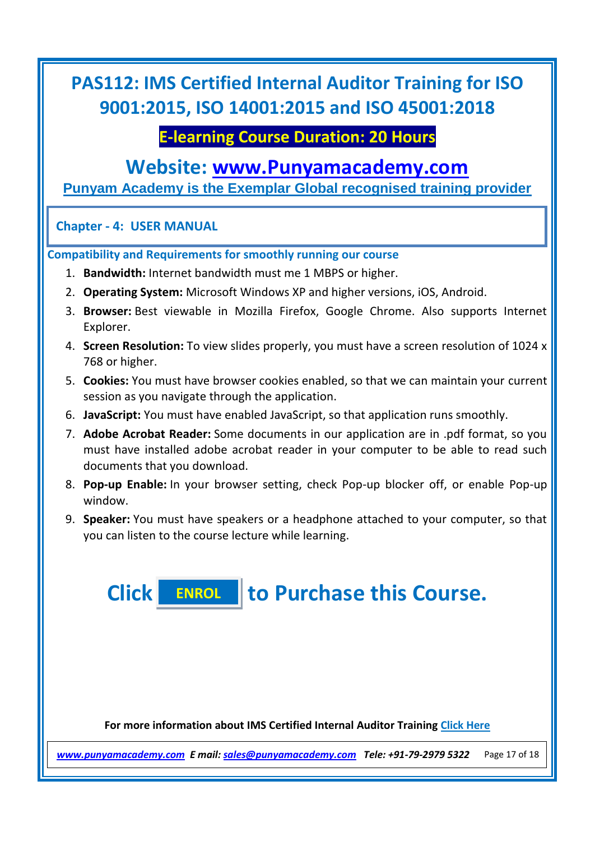### **E-learning Course Duration: 20 Hours**

### **Website: [www.Punyamacademy.com](https://www.punyamacademy.com/)**

**Punyam Academy is the Exemplar Global recognised training provider**

#### **Chapter - 4: USER MANUAL**

**Compatibility and Requirements for smoothly running our course**

- 1. **Bandwidth:** Internet bandwidth must me 1 MBPS or higher.
- 2. **Operating System:** Microsoft Windows XP and higher versions, iOS, Android.
- 3. **Browser:** Best viewable in Mozilla Firefox, Google Chrome. Also supports Internet Explorer.
- 4. **Screen Resolution:** To view slides properly, you must have a screen resolution of 1024 x 768 or higher.
- 5. **Cookies:** You must have browser cookies enabled, so that we can maintain your current session as you navigate through the application.
- 6. **JavaScript:** You must have enabled JavaScript, so that application runs smoothly.
- 7. **Adobe Acrobat Reader:** Some documents in our application are in .pdf format, so you must have installed adobe acrobat reader in your computer to be able to read such documents that you download.
- 8. **Pop-up Enable:** In your browser setting, check Pop-up blocker off, or enable Pop-up window.
- 9. **Speaker:** You must have speakers or a headphone attached to your computer, so that you can listen to the course lecture while learning.

**Click to Purchase this Course. [ENROL](https://www.punyamacademy.com/book/ims-certified-internal-auditor-training)**

**For more information about IMS Certified Internal Auditor Training [Click Here](https://www.punyamacademy.com/course/hse/ims-certified-internal-auditor-training)**

*[www.punyamacademy.com](https://www.punyamacademy.com/) E mail[: sales@punyamacademy.com](mailto:sales@punyamacademy.com) Tele: +91-79-2979 5322* Page 17 of 18